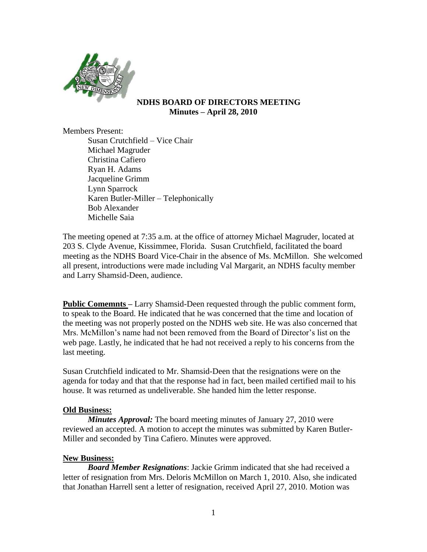

### **NDHS BOARD OF DIRECTORS MEETING Minutes – April 28, 2010**

Members Present:

Susan Crutchfield – Vice Chair Michael Magruder Christina Cafiero Ryan H. Adams Jacqueline Grimm Lynn Sparrock Karen Butler-Miller – Telephonically Bob Alexander Michelle Saia

The meeting opened at 7:35 a.m. at the office of attorney Michael Magruder, located at 203 S. Clyde Avenue, Kissimmee, Florida. Susan Crutchfield, facilitated the board meeting as the NDHS Board Vice-Chair in the absence of Ms. McMillon. She welcomed all present, introductions were made including Val Margarit, an NDHS faculty member and Larry Shamsid-Deen, audience.

**Public Comemnts –** Larry Shamsid-Deen requested through the public comment form, to speak to the Board. He indicated that he was concerned that the time and location of the meeting was not properly posted on the NDHS web site. He was also concerned that Mrs. McMillon's name had not been removed from the Board of Director's list on the web page. Lastly, he indicated that he had not received a reply to his concerns from the last meeting.

Susan Crutchfield indicated to Mr. Shamsid-Deen that the resignations were on the agenda for today and that that the response had in fact, been mailed certified mail to his house. It was returned as undeliverable. She handed him the letter response.

# **Old Business:**

*Minutes Approval:* The board meeting minutes of January 27, 2010 were reviewed an accepted. A motion to accept the minutes was submitted by Karen Butler-Miller and seconded by Tina Cafiero. Minutes were approved.

# **New Business:**

*Board Member Resignations*: Jackie Grimm indicated that she had received a letter of resignation from Mrs. Deloris McMillon on March 1, 2010. Also, she indicated that Jonathan Harrell sent a letter of resignation, received April 27, 2010. Motion was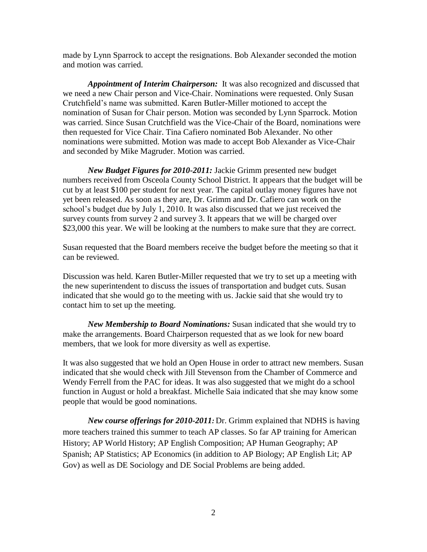made by Lynn Sparrock to accept the resignations. Bob Alexander seconded the motion and motion was carried.

*Appointment of Interim Chairperson:* It was also recognized and discussed that we need a new Chair person and Vice-Chair. Nominations were requested. Only Susan Crutchfield's name was submitted. Karen Butler-Miller motioned to accept the nomination of Susan for Chair person. Motion was seconded by Lynn Sparrock. Motion was carried. Since Susan Crutchfield was the Vice-Chair of the Board, nominations were then requested for Vice Chair. Tina Cafiero nominated Bob Alexander. No other nominations were submitted. Motion was made to accept Bob Alexander as Vice-Chair and seconded by Mike Magruder. Motion was carried.

*New Budget Figures for 2010-2011:* Jackie Grimm presented new budget numbers received from Osceola County School District. It appears that the budget will be cut by at least \$100 per student for next year. The capital outlay money figures have not yet been released. As soon as they are, Dr. Grimm and Dr. Cafiero can work on the school's budget due by July 1, 2010. It was also discussed that we just received the survey counts from survey 2 and survey 3. It appears that we will be charged over \$23,000 this year. We will be looking at the numbers to make sure that they are correct.

Susan requested that the Board members receive the budget before the meeting so that it can be reviewed.

Discussion was held. Karen Butler-Miller requested that we try to set up a meeting with the new superintendent to discuss the issues of transportation and budget cuts. Susan indicated that she would go to the meeting with us. Jackie said that she would try to contact him to set up the meeting.

*New Membership to Board Nominations:* Susan indicated that she would try to make the arrangements. Board Chairperson requested that as we look for new board members, that we look for more diversity as well as expertise.

It was also suggested that we hold an Open House in order to attract new members. Susan indicated that she would check with Jill Stevenson from the Chamber of Commerce and Wendy Ferrell from the PAC for ideas. It was also suggested that we might do a school function in August or hold a breakfast. Michelle Saia indicated that she may know some people that would be good nominations.

*New course offerings for 2010-2011:* Dr. Grimm explained that NDHS is having more teachers trained this summer to teach AP classes. So far AP training for American History; AP World History; AP English Composition; AP Human Geography; AP Spanish; AP Statistics; AP Economics (in addition to AP Biology; AP English Lit; AP Gov) as well as DE Sociology and DE Social Problems are being added.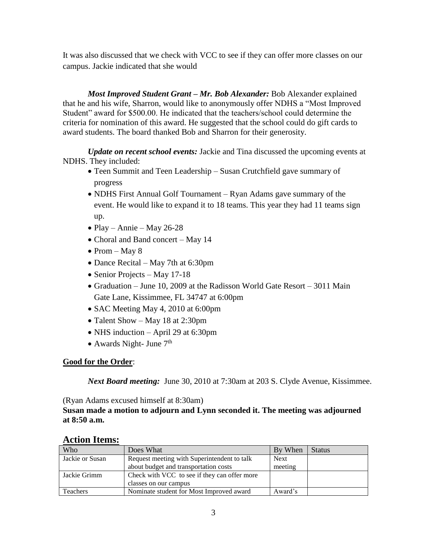It was also discussed that we check with VCC to see if they can offer more classes on our campus. Jackie indicated that she would

*Most Improved Student Grant – Mr. Bob Alexander:* Bob Alexander explained that he and his wife, Sharron, would like to anonymously offer NDHS a "Most Improved Student" award for \$500.00. He indicated that the teachers/school could determine the criteria for nomination of this award. He suggested that the school could do gift cards to award students. The board thanked Bob and Sharron for their generosity.

*Update on recent school events:* Jackie and Tina discussed the upcoming events at NDHS. They included:

- Teen Summit and Teen Leadership Susan Crutchfield gave summary of progress
- NDHS First Annual Golf Tournament Ryan Adams gave summary of the event. He would like to expand it to 18 teams. This year they had 11 teams sign up.
- Play Annie May 26-28
- Choral and Band concert May 14
- Prom May 8
- Dance Recital May 7th at 6:30pm
- Senior Projects May 17-18
- Graduation June 10, 2009 at the Radisson World Gate Resort 3011 Main Gate Lane, Kissimmee, FL 34747 at 6:00pm
- SAC Meeting May 4, 2010 at 6:00pm
- Talent Show May 18 at 2:30pm
- NHS induction April 29 at 6:30pm
- Awards Night- June  $7<sup>th</sup>$

### **Good for the Order**:

*Next Board meeting:* June 30, 2010 at 7:30am at 203 S. Clyde Avenue, Kissimmee.

(Ryan Adams excused himself at 8:30am)

**Susan made a motion to adjourn and Lynn seconded it. The meeting was adjourned at 8:50 a.m.**

| Who             | Does What                                    | By When     | <b>Status</b> |
|-----------------|----------------------------------------------|-------------|---------------|
| Jackie or Susan | Request meeting with Superintendent to talk  | <b>Next</b> |               |
|                 | about budget and transportation costs        | meeting     |               |
| Jackie Grimm    | Check with VCC to see if they can offer more |             |               |
|                 | classes on our campus                        |             |               |
| Teachers        | Nominate student for Most Improved award     | Award's     |               |

# **Action Items:**